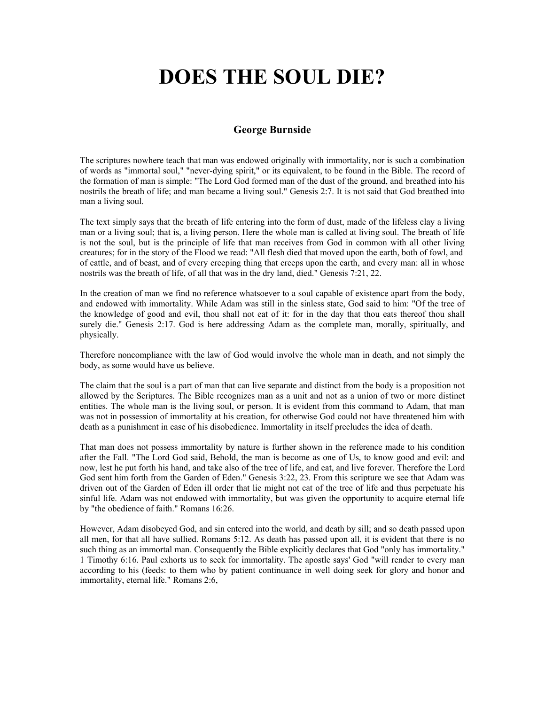## **DOES THE SOUL DIE?**

## **George Burnside**

The scriptures nowhere teach that man was endowed originally with immortality, nor is such a combination of words as "[immortal soul," "never-dying spirit," or its equivalent, to be found in the Bible. T](http://www.maranathamedia.com.au/)he record of the formation of man is simple: "The Lord God formed man of the dust of the ground, and breathed into his nostrils the breath of life; and man became a living soul." Genesis 2:7. It is not said that God breathed into man a living soul.

The text simply says that the breath of life entering into the form of dust, made of the lifeless clay a living man or a living soul; that is, a living person. Here the whole man is called at living soul. The breath of life is not the soul, but is the principle of life that man receives from God in common with all other living creatures; for in the story of the Flood we read: "All flesh died that moved upon the earth, both of fowl, and of cattle, and of beast, and of every creeping thing that creeps upon the earth, and every man: all in whose nostrils was the breath of life, of all that was in the dry land, died." Genesis 7:21, 22.

In the creation of man we find no reference whatsoever to a soul capable of existence apart from the body, and endowed with immortality. While Adam was still in the sinless state, God said to him: "Of the tree of the knowledge of good and evil, thou shall not eat of it: for in the day that thou eats thereof thou shall surely die." Genesis 2:17. God is here addressing Adam as the complete man, morally, spiritually, and physically.

Therefore noncompliance with the law of God would involve the whole man in death, and not simply the body, as some would have us believe.

The claim that the soul is a part of man that can live separate and distinct from the body is a proposition not allowed by the Scriptures. The Bible recognizes man as a unit and not as a union of two or more distinct entities. The whole man is the living soul, or person. It is evident from this command to Adam, that man was not in possession of immortality at his creation, for otherwise God could not have threatened him with death as a punishment in case of his disobedience. Immortality in itself precludes the idea of death.

That man does not possess immortality by nature is further shown in the reference made to his condition after the Fall. "The Lord God said, Behold, the man is become as one of Us, to know good and evil: and now, lest he put forth his hand, and take also of the tree of life, and eat, and live forever. Therefore the Lord God sent him forth from the Garden of Eden." Genesis 3:22, 23. From this scripture we see that Adam was driven out of the Garden of Eden ill order that lie might not cat of the tree of life and thus perpetuate his sinful life. Adam was not endowed with immortality, but was given the opportunity to acquire eternal life by "the obedience of faith." Romans 16:26.

However, Adam disobeyed God, and sin entered into the world, and death by sill; and so death passed upon all men, for that all have sullied. Romans 5:12. As death has passed upon all, it is evident that there is no such thing as an immortal man. Consequently the Bible explicitly declares that God "only has immortality." 1 Timothy 6:16. Paul exhorts us to seek for immortality. The apostle says' God "will render to every man according to his (feeds: to them who by patient continuance in well doing seek for glory and honor and immortality, eternal life." Romans 2:6,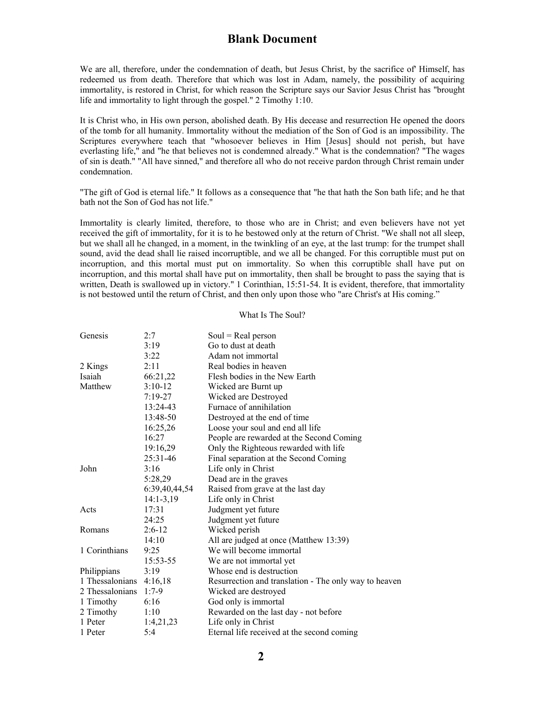## **Blank Document**

We are all, therefore, under the condemnation of death, but Jesus Christ, by the sacrifice of' Himself, has redeemed us from death. Therefore that which was lost in Adam, namely, the possibility of acquiring immortality, is restored in Christ, for which reason the Scripture says our Savior Jesus Christ has "brought life and immortality to light through the gospel." 2 Timothy 1:10.

It is Christ who, in His own person, abolished death. By His decease and resurrection He opened the doors of the tomb for all humanity. Immortality without the mediation of the Son of God is an impossibility. The Scriptures everywhere teach that "whosoever believes in Him [Jesus] should not perish, but have everlasting life," and "he that believes not is condemned already." What is the condemnation? "The wages of sin is death." "All have sinned," and therefore all who do not receive pardon through Christ remain under condemnation.

"The gift of God is eternal life." It follows as a consequence that "he that hath the Son bath life; and he that bath not the Son of God has not life."

Immortality is clearly limited, therefore, to those who are in Christ; and even believers have not yet received the gift of immortality, for it is to he bestowed only at the return of Christ. "We shall not all sleep, but we shall all he changed, in a moment, in the twinkling of an eye, at the last trump: for the trumpet shall sound, avid the dead shall lie raised incorruptible, and we all be changed. For this corruptible must put on incorruption, and this mortal must put on immortality. So when this corruptible shall have put on incorruption, and this mortal shall have put on immortality, then shall be brought to pass the saying that is written, Death is swallowed up in victory." 1 Corinthian, 15:51-54. It is evident, therefore, that immortality is not bestowed until the return of Christ, and then only upon those who "are Christ's at His coming."

What Is The Soul?

| Genesis         | 2:7           | $Soul = Real person$                                  |
|-----------------|---------------|-------------------------------------------------------|
|                 | 3:19          | Go to dust at death                                   |
|                 | 3:22          | Adam not immortal                                     |
| 2 Kings         | 2:11          | Real bodies in heaven                                 |
| Isaiah          | 66:21,22      | Flesh bodies in the New Earth                         |
| Matthew         | $3:10-12$     | Wicked are Burnt up                                   |
|                 | $7:19-27$     | Wicked are Destroyed                                  |
|                 | 13:24-43      | Furnace of annihilation                               |
|                 | 13:48-50      | Destroyed at the end of time                          |
|                 | 16:25,26      | Loose your soul and end all life                      |
|                 | 16:27         | People are rewarded at the Second Coming              |
|                 | 19:16,29      | Only the Righteous rewarded with life                 |
|                 | 25:31-46      | Final separation at the Second Coming                 |
| John            | 3:16          | Life only in Christ                                   |
|                 | 5:28,29       | Dead are in the graves                                |
|                 | 6:39,40,44,54 | Raised from grave at the last day                     |
|                 | $14:1-3,19$   | Life only in Christ                                   |
| Acts            | 17:31         | Judgment yet future                                   |
|                 | 24:25         | Judgment yet future                                   |
| Romans          | $2:6-12$      | Wicked perish                                         |
|                 | 14:10         | All are judged at once (Matthew 13:39)                |
| 1 Corinthians   | 9:25          | We will become immortal                               |
|                 | 15:53-55      | We are not immortal yet                               |
| Philippians     | 3:19          | Whose end is destruction                              |
| 1 Thessalonians | 4:16,18       | Resurrection and translation - The only way to heaven |
| 2 Thessalonians | $1:7-9$       | Wicked are destroyed                                  |
| 1 Timothy       | 6:16          | God only is immortal                                  |
| 2 Timothy       | 1:10          | Rewarded on the last day - not before                 |
| 1 Peter         | 1:4,21,23     | Life only in Christ                                   |
| 1 Peter         | 5:4           | Eternal life received at the second coming            |